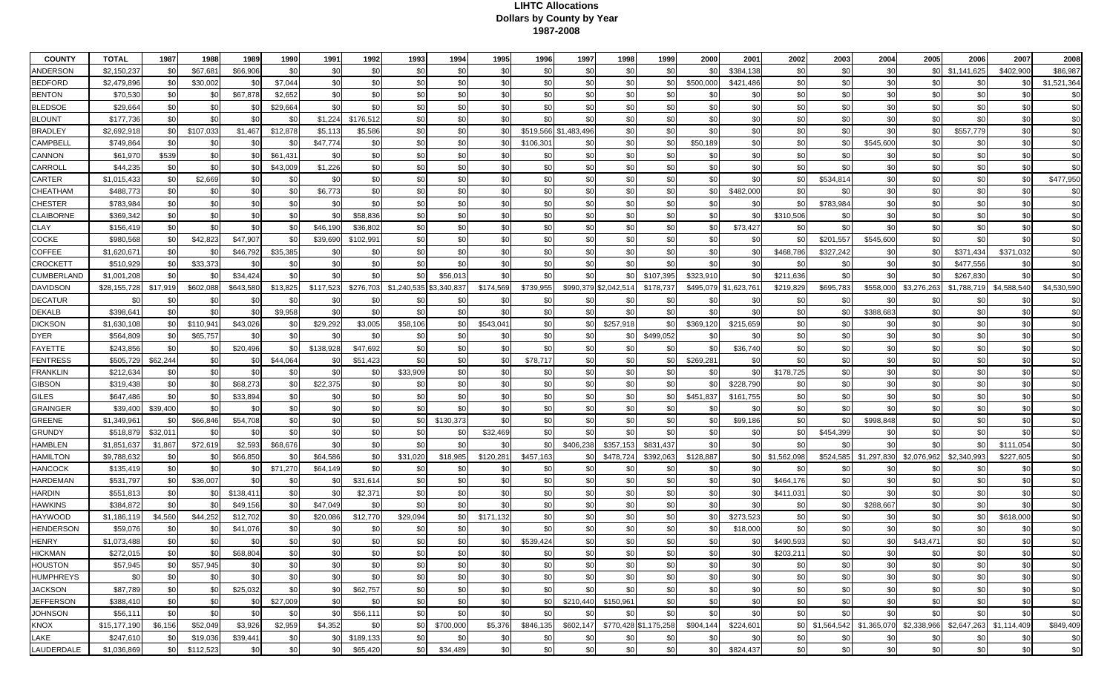## **LIHTC Allocations Dollars by County by Year 1987-2008**

| <b>COUNTY</b>    | <b>TOTAL</b> | 1987     | 1988      | 1989      | 1990       | 1991      | 1992      | 1993        | 1994            | 1995       | 1996      | 1997            | 1998                  | 1999      | 2000      | 2001                  | 2002        | 2003                    | 2004        | 2005                                | 2006        | 2007            | 2008            |
|------------------|--------------|----------|-----------|-----------|------------|-----------|-----------|-------------|-----------------|------------|-----------|-----------------|-----------------------|-----------|-----------|-----------------------|-------------|-------------------------|-------------|-------------------------------------|-------------|-----------------|-----------------|
| ANDERSON         | \$2,150,237  | \$0      | \$67,68   | \$66,906  | <b>.SO</b> | \$        | \$0       | .SO         | - \$0           | \$0        | \$0       | -\$0            | \$0                   | \$0       | \$0       | \$384,138             | \$0         | \$0                     | \$0         | \$0                                 | \$1,141,625 | \$402,900       | \$86,98         |
| BEDFORD          | \$2,479,896  | \$0      | \$30,002  | \$0       | \$7,044    | \$0       | \$0       | \$0         | \$0             | \$0        | \$0       | \$0             | \$0                   | \$0       | \$500,000 | \$421,486             | \$0         | \$0                     | \$0         | \$0                                 | <b>\$0</b>  | \$0             | \$1,521,364     |
| 3ENTON           | \$70,53      | \$0      | \$0       | \$67,878  | \$2,652    | \$0       | \$0       | \$0         | -\$0            | \$0        | \$0       | \$0             | \$0                   | \$0       | \$0       | \$0                   | \$0         | \$0                     | \$0         | \$0                                 | \$0         | \$0             |                 |
| <b>BLEDSOE</b>   | \$29,664     | \$0      | \$0       | \$0       | \$29,664   | \$0       | \$0       | \$0         | - \$C           | \$0        | \$0       | \$0             | \$0                   | \$0       | \$0       | \$0                   | \$0         | \$0                     | \$0         | \$0                                 | \$0         | \$0             | \$ <sub>6</sub> |
| BLOUNT           | \$177,736    | \$0      | \$0       | \$0       | \$0        | \$1,224   | \$176,512 | \$0         | \$0             | \$0        | -\$0      | \$0             | \$0                   | \$0       | \$0       | \$0                   | \$0         | \$0                     | \$0         | \$0                                 | \$0         | \$0             |                 |
| 3RADLEY          | \$2,692,91   | \$0l     | \$107,033 | \$1,467   | \$12,87    | \$5,11    | \$5,586   | \$0         | -\$0            | \$0        | \$519,566 | \$1,483,496     | \$0                   | \$0       | \$0       | \$0                   | \$0         | \$0                     | \$0         | \$0                                 | \$557,779   | \$0             |                 |
| CAMPBELI         | \$749,864    | \$0      | \$0       | \$0       | ا\$        | \$47,77   | \$0       | \$0         | <b>SC</b>       | \$0        | \$106,30  | \$0             | \$0                   | \$0       | \$50,189  | \$0                   | \$C         | \$0                     | \$545,600   | \$0                                 | \$0         | \$0             | \$ <sub>6</sub> |
| CANNON           | \$61,97      | \$539    | \$0       | \$0       | \$61,43    | - \$0     | \$0       | \$0         | -\$0            | \$0        | -\$0      | \$0             | \$0                   | \$0       | \$0       | \$0                   | \$0         | \$0                     | \$C         | \$0                                 | \$0         | \$0             | \$0             |
| CARROLL          | \$44,23      | \$0      | \$0       | \$0       | \$43,009   | \$1,226   | \$0       | \$0         | -\$0            | \$0        | \$0       | \$0             | \$0                   | \$0       | \$0       | \$0                   | \$0         | \$0                     | \$0         | \$0                                 | \$0         | \$0             | \$ <sub>6</sub> |
| CARTER           | \$1,015,43   | \$0      | \$2,669   | \$0       | -\$0       | \$0       | \$0       | \$0         | \$0             | \$0        | \$0       | \$0             | \$0                   | \$0       | \$0       | \$0                   | \$0         | \$534,814               | \$0         | \$0                                 | \$0         | \$0             | \$477,950       |
| CHEATHAM         | \$488,773    | \$0      | \$0       | \$0       | \$0        | \$6,773   | \$0       | \$0         | -\$0            | \$0        | \$0       | \$0             | \$0                   | \$0       | \$0       | \$482,000             | \$C         | \$0                     | \$0         | \$0                                 | \$0         | \$0             |                 |
| CHESTER          | \$783,984    | \$0      | \$0       | \$0       | -\$0       | .ፍር       | \$0       | \$0         | - \$C           | \$0        | \$0       | \$0             | \$0                   | \$0       | \$0       | \$0                   | - \$C       | \$783,984               | \$0         | \$0                                 | \$0         | \$0             |                 |
| <b>CLAIBORNE</b> | \$369,342    | \$0      | \$0       | \$0       | \$0        | -\$0      | \$58,836  | \$0         | - \$C           | \$0        | \$0       | \$0             | \$0                   | \$0       | \$0       | \$0                   | \$310,506   | \$0                     | \$0         | \$0                                 | \$0         | \$0             | \$0             |
| <b>CLAY</b>      | \$156,41     | \$0      | \$0       | \$0       | \$0        | \$46,19   | \$36,802  | \$0         | -\$0            | \$0        | \$0       | \$0             | \$0                   | \$0       | \$0       | \$73,427              | \$0         | \$0                     | \$0         | \$0                                 | \$0         | \$0             | \$ <sub>6</sub> |
| COCKE            | \$980,56     | \$0      | \$42,823  | \$47,907  | \$0        | \$39,69   | \$102,991 | \$0         | \$0             | \$0        | \$0       | \$0             | \$0                   | \$0       | \$0       | \$0                   | \$          | \$201,557               | \$545,600   | \$0                                 | \$0         | \$0             | \$0             |
| COFFEE           | \$1,620,67   | \$0      | \$0       | \$46,792  | \$35,385   | \$        | \$0       | \$0         | \$0             | \$0        | \$0       | \$0             | \$0                   | \$0       | \$0       | \$0                   | \$468,786   | \$327,242               | \$0         | \$0                                 | \$371,434   | \$371,032       | \$ <sub>6</sub> |
| CROCKET1         | \$510,929    | \$0      | \$33,373  | \$0       | \$0        | .ፍር       | \$0       | \$0         | -\$0            | \$0        | \$0       | -\$0            | \$0                   | \$0       | \$0       | \$0                   | - SC        | \$0                     | \$0         | \$0                                 | \$477,556   | \$0             |                 |
| CUMBERLAND       | \$1,001,208  | \$0      | \$0       | \$34,424  | \$0        | \$0       | \$0       | \$0         | \$56,013        | \$0        | \$0       | \$0             | \$0                   | \$107,395 | \$323,910 | \$0                   | \$211,636   | \$0                     | \$0         | \$0                                 | \$267,830   | \$0             |                 |
| DAVIDSON         | \$28,155,728 | \$17,919 | \$602,088 | \$643,580 | \$13,82    | \$117,52  | \$276,703 | \$1,240,535 | \$3,340,837     | \$174,569  | \$739,955 | \$990,379       | \$2,042,514           | \$178,737 |           | \$495,079 \$1,623,761 | \$219,829   | \$695,783               | \$558,000   | \$3,276,263                         | \$1,788,719 | \$4,588,540     | \$4,530,590     |
| DECATUR          | -\$0         | \$0      | \$0       | \$0       | -\$0       | \$        | -\$0      | \$0         | -\$0            | <b>\$0</b> | \$0       | -\$0            | \$0                   | \$0       | \$0       | \$0                   | - \$C       | \$0                     | \$0         | \$0                                 | \$0         | \$0             |                 |
| DEKALB           | \$398,64     | \$0      | \$0       | \$0       | \$9,958    | \$0       | \$0       | \$0         | \$0             | \$0        | \$0       | -\$0            | \$0                   | \$0       | \$0       | \$0                   | \$0         | \$0                     | \$388,683   | \$0                                 | \$0         | \$0             | \$ <sub>6</sub> |
| DICKSON          | \$1,630,108  | \$0      | \$110,941 | \$43,026  | \$0        | \$29,292  | \$3,005   | \$58,106    | -\$0            | \$543,04   | \$0       | -\$0            | \$257,918             | \$0       | \$369,120 | \$215,659             | \$0         | \$0                     |             | \$0                                 | \$0         | \$0             |                 |
| <b>DYER</b>      | \$564,809    | \$0      | \$65,757  | \$0       | \$0        | ் இட      | \$0       | \$0         | \$0             | \$0        | \$0       | \$0             | \$0                   | \$499,052 | \$0       | \$0                   | \$0         | \$0                     |             | \$0                                 | \$0         | \$0             |                 |
| FAYETTE          | \$243,856    | \$0      | \$0       | \$20,496  | -\$0       | \$138,928 | \$47,692  | \$0         | \$0             | \$0        | \$0       | \$0             | \$0                   | \$0       | \$0       | \$36,740              | \$0         | \$0                     | \$0         | \$0                                 | \$0         | \$0             | \$ <sub>6</sub> |
| FENTRESS         | \$505,729    | \$62,244 | \$0       | \$0       | \$44,064   | -30       | \$51,423  | \$0         | \$0             | \$0        | \$78,71   | \$0             | \$0                   | \$0       | \$269,281 | \$0                   | \$0         | \$0                     | \$0         | \$0                                 | \$0         | \$0             | \$0             |
| FRANKLIN         | \$212,634    | \$0      | \$0       | \$0       | \$0        | \$۵       | \$0       | \$33,909    | \$0             | \$0        | \$0       | \$0             | \$0                   | \$0       | \$0       | \$0                   | \$178,725   | \$0                     | \$0         | \$0                                 | \$0         | \$0             | \$ <sub>6</sub> |
| GIBSON           | \$319,438    | \$0      | \$0       | \$68,273  | \$0        | \$22,375  | \$0       | \$0         | \$0             | \$0        | \$0       | \$0             | \$0                   | \$0       | \$0       | \$228,790             | \$0         | \$0                     | \$0         | \$0                                 | \$0         | \$0             |                 |
| <b>GILES</b>     | \$647,48     | \$0      | \$0       | \$33,894  | \$0        | ۰۹۵       | \$0       | \$0         | -\$0            | \$0        | \$0       | \$0             | \$0                   | \$0       | \$451,837 | \$161,755             | \$0         | \$0                     | \$0         | \$0                                 | \$0         | \$0             | \$0             |
| <b>GRAINGER</b>  | \$39,400     | \$39,400 | \$0       | \$0       | \$0        | \$0       | \$0       | \$0         | <b>SC</b>       | \$0        | \$0       | \$0             | \$0                   | \$0       | \$0       | \$0                   | \$0         | \$0                     | \$0         | \$0                                 | \$0         | \$0             | \$ <sub>6</sub> |
| GREENE           | \$1,349,96   | \$0      | \$66,846  | \$54,708  | -\$0       | .ፍር       | \$0       | -\$01       | \$130,373       | \$0        | \$0       | -\$0            | \$0                   | \$0       | \$0       | \$99,186              | \$0         | \$0                     | \$998,848   | \$0                                 | \$0         | \$0             | \$ <sub>6</sub> |
| GRUNDY           | \$518,879    | \$32,011 | \$0       | \$0       | \$0        | $$^{0}$   | \$0       | \$0         | - \$0           | \$32,469   | \$0       | \$0             | \$0                   | \$0       | \$0       | \$0                   | \$0         | \$454,399               | \$0         | \$0                                 | \$0         | \$0             | \$ <sub>6</sub> |
| <b>HAMBLEN</b>   | \$1,851,637  | \$1,867  | \$72,619  | \$2,593   | \$68,676   | \$0       | \$0       | \$0         | -\$0            | \$0        | \$0       | \$406,238       | \$357,153             | \$831,437 | \$0       | \$0                   | \$C         | \$0                     | \$0         | \$0                                 | \$0         | \$111,054       | \$ <sub>6</sub> |
| HAMILTON         | \$9,788,632  | \$0      | \$0       | \$66,850  | -\$0       | \$64,586  | \$0       | \$31,020    | \$18,985        | \$120,281  | \$457,16  | ا\$             | \$478,724             | \$392,063 | \$128,887 | \$0                   | \$1,562,098 | \$524,585               | \$1,297,830 | \$2,076,962                         | \$2,340,993 | \$227,605       |                 |
| HANCOCK          | \$135,41     | \$0      | \$0       | \$0       | \$71,27    | \$64,149  | \$0       | .SC         | - \$0           | .\$ር       | \$0       | \$0             | \$0                   | -\$0      | \$0       | \$0                   | -\$0        | .\$ር                    |             | \$0                                 | \$0         | \$0             |                 |
| HARDEMAN         | \$531,797    | \$0      | \$36,007  | \$0       | \$0        | \$0       | \$31,61   | \$0         | - \$0           | \$0        | \$0       | -\$0            | \$0                   | \$0       | \$0       | \$0                   | \$464,176   | \$0                     | \$0         | \$0                                 | \$0         | \$0             |                 |
| HARDIN           | \$551,81     | \$0      | \$0       | \$138,41' | \$0        | .S        | \$2,371   | \$0         | -\$0            | \$0        | \$0       | -\$0            | \$0                   | \$0       | \$0       | \$0                   | \$411,03    | \$0                     | \$0         | \$0                                 | \$0         | \$0             | $$^{(1)}$       |
| HAWKINS          | \$384,87     | \$0      | \$C       | \$49,156  | \$٢        | \$47,049  | \$0       | \$0         | \$0             | \$0        | \$0       | \$0             | \$0                   | \$0       | \$0       | \$0                   | \$0         | \$0                     | \$288,667   | \$0                                 | \$0         | \$0             |                 |
| HAYWOOD          | \$1,186,119  | \$4,560  | \$44,252  | \$12,702  | -\$0       | \$20,08   | \$12,770  | \$29,094    | \$0             | \$171,132  | \$0       | \$0             | \$0                   | \$0       | \$0       | \$273,523             | \$0         | \$0                     | \$0         | \$0                                 | \$0         | \$618,000       | \$ <sub>6</sub> |
| <b>HENDERSON</b> | \$59,07      | \$0      | \$C       | \$41,076  | \$0        |           | \$0       | \$0         | - \$C           |            | \$0       | \$0             | \$0                   | \$0       | \$0       | \$18,000              | <b>SC</b>   | \$0                     |             | \$0                                 | \$0         | \$0             |                 |
| HENRY            | \$1,073,488  | \$0      | \$0       | \$0       |            |           | \$        |             | \$ <sub>6</sub> | \$0        | \$539,424 | \$ <sub>c</sub> | \$0                   | \$0       | \$C       | \$0                   | \$490,593   | \$0                     | \$0         | \$43,471                            | \$0         | \$ <sub>6</sub> |                 |
| <b>HICKMAN</b>   | \$272,015    | \$0      | \$0       | \$68,804  | \$0        | \$0       | \$0       | \$0         | \$0             | \$0        | \$0       | \$0             | \$0                   | \$0       | \$0       | \$0                   | \$203,211   | \$0                     | \$0         | \$0                                 | \$0         | \$0             | \$0             |
| <b>HOUSTON</b>   | \$57,945     | \$0      | \$57,945  | \$0       | \$0        | \$0       | \$0       | \$0         | \$0             | \$0        | \$0       | \$0             | \$0                   | \$0       | \$0       | \$0                   | \$0         | \$0                     | \$0         | \$0                                 | \$0         | \$0             | \$0             |
| HUMPHREYS        | \$0          | \$0      | \$0       | \$0       | \$0        | \$0       | \$0       | \$0         | \$0             | \$0        | \$0       | \$0             | \$0                   | \$0       | \$0       | \$0                   | \$0         | \$0                     | \$0         | \$0                                 | \$0         | \$0             | \$0             |
| JACKSON          | \$87,789     | \$0      | \$0       | \$25,032  | \$0        | \$0       | \$62,757  | \$0         | \$0             | \$0        | \$0       | \$0             | \$0                   | \$0       | \$0       | \$0                   | \$0         | \$0                     | \$0         | \$0                                 | \$0         | \$0             | \$0             |
| <b>JEFFERSON</b> | \$388,410    | \$0      | \$0       | \$0       | \$27,009   | \$0       | \$0       | \$0         | \$0             | \$0        | \$0       | \$210,440       | \$150,961             | \$0       | \$0       | \$0                   | \$0         | \$0                     | \$0         | \$0                                 | \$0         | \$0             | \$0             |
| <b>JOHNSON</b>   | \$56,111     | \$0      | \$0       | \$0       | -\$0       | -\$0      | \$56,111  | \$0         | \$0             | \$0        | \$0       | \$0             | \$0                   | \$0       | \$0       | \$0                   | \$0         | \$0                     | \$0         | \$0                                 | <b>SO</b>   | \$0             | \$0             |
| <b>KNOX</b>      | \$15,177,190 | \$6,156  | \$52,049  | \$3,926   | \$2,959    | \$4,352   | \$0       | \$0         | \$700,000       | \$5,376    | \$846,135 | \$602,147       | \$770,428 \$1,175,258 |           | \$904,144 | \$224,601             | \$0         | \$1,564,542 \$1,365,070 |             | \$2,338,966 \$2,647,263 \$1,114,409 |             |                 | \$849,409       |
| LAKE             | \$247,610    | \$0      | \$19,036  | \$39,441  | \$0        | \$0       | \$189,133 | \$0         | -\$0            | \$0        | \$0       | \$0             | \$0                   | \$0       | \$0       | \$0                   | \$0         | \$0                     | \$0         | \$0                                 | \$0         | \$0             | \$0             |
| LAUDERDALE       | \$1,036,869  | \$0      | \$112,523 | \$0       | \$0        | \$0       | \$65,420  | \$0         | \$34,489        | \$0        | \$0       | \$0             | \$0                   | \$0       | \$0       | \$824,437             | \$0         | \$0                     | \$0         | \$0                                 | \$0         | \$0             | \$0             |